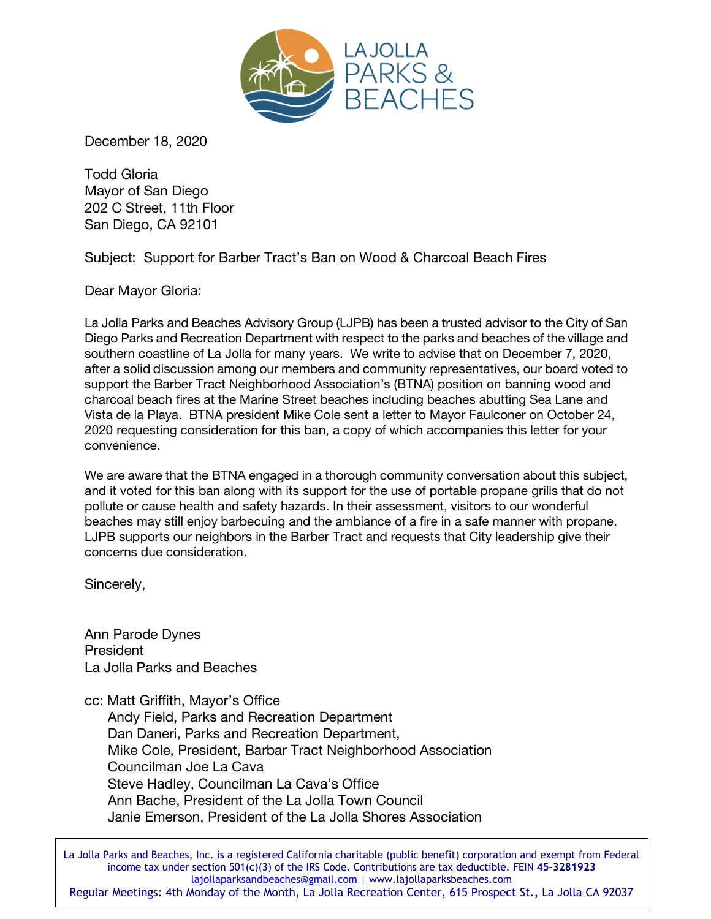

December 18, 2020

Todd Gloria Mayor of San Diego 202 C Street, 11th Floor San Diego, CA 92101

Subject: Support for Barber Tract's Ban on Wood & Charcoal Beach Fires

Dear Mayor Gloria:

La Jolla Parks and Beaches Advisory Group (LJPB) has been a trusted advisor to the City of San Diego Parks and Recreation Department with respect to the parks and beaches of the village and southern coastline of La Jolla for many years. We write to advise that on December 7, 2020, after a solid discussion among our members and community representatives, our board voted to support the Barber Tract Neighborhood Association's (BTNA) position on banning wood and charcoal beach fires at the Marine Street beaches including beaches abutting Sea Lane and Vista de la Playa. BTNA president Mike Cole sent a letter to Mayor Faulconer on October 24, 2020 requesting consideration for this ban, a copy of which accompanies this letter for your convenience.

We are aware that the BTNA engaged in a thorough community conversation about this subject, and it voted for this ban along with its support for the use of portable propane grills that do not pollute or cause health and safety hazards. In their assessment, visitors to our wonderful beaches may still enjoy barbecuing and the ambiance of a fire in a safe manner with propane. LJPB supports our neighbors in the Barber Tract and requests that City leadership give their concerns due consideration.

Sincerely,

Ann Parode Dynes President La Jolla Parks and Beaches

cc: Matt Griffith, Mayor's Office

 Andy Field, Parks and Recreation Department Dan Daneri, Parks and Recreation Department, Mike Cole, President, Barbar Tract Neighborhood Association Councilman Joe La Cava Steve Hadley, Councilman La Cava's Office Ann Bache, President of the La Jolla Town Council Janie Emerson, President of the La Jolla Shores Association

Regular Meetings: 4th Monday of the Month, La Jolla Recreation Center, 615 Prospect St., La Jolla CA 92037 La Jolla Parks and Beaches, Inc. is a registered California charitable (public benefit) corporation and exempt from Federal income tax under section 501(c)(3) of the IRS Code. Contributions are tax deductible. FEIN **45-3281923** lajollaparksandbeaches@gmail.com | www.lajollaparksbeaches.com